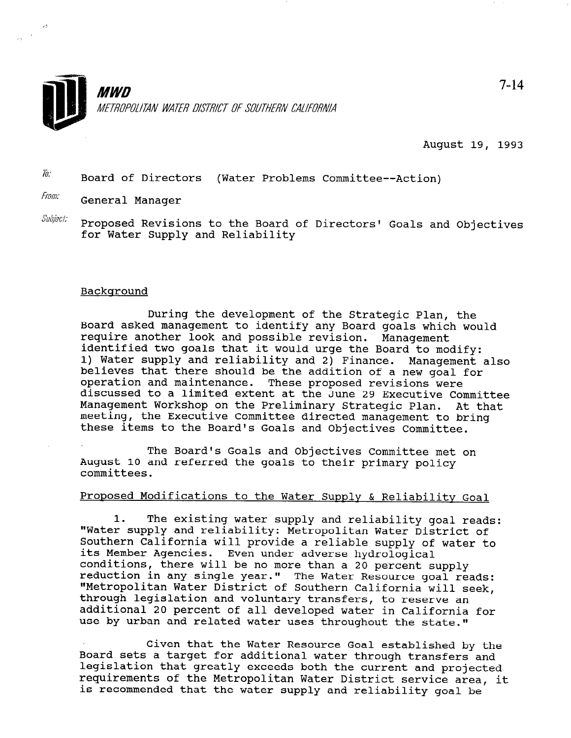

August 19, 1993

 $\overline{I}$ Board of Directors (Water Problems Committee--Action)

From: General Manager

 $\mathcal{L}^{\star}$ 

 $\mathit{Subject:}$  Proposed Revisions to the Board of Directors' Goals and Objectives for Water Supply and Reliability

### Background

During the development of the Strategic Plan, the Board asked management to identify any Board goals which would require another look and possible revision. Management identified two goals that it would urge the Board to modify: 1) Water supply and reliability and 2) Finance. Management also believes that there should be the addition of a new goal for operation and maintenance. These proposed revisions were discussed to a limited extent at the June 29 Executive Committee Management Workshop on the Preliminary Strategic Plan. At that meeting, the Executive Committee directed management to bring these items to the Board's Goals and Objectives Committee.

The Board's Goals and Objectives Committee met on August 10 and referred the goals to their primary policy committees.

# Proposed Modifications to the Water Supply & Reliability Goal

1. The existing water supply and reliability goal reads: "Water supply and reliability: Metropolitan Water District of Southern California will provide a reliable supply of water to water the model water of bouchern Carriorni conditions<br>Iconditions Even under adverse hydrological<br>Even under adverse hydrologic conditions, there will be no more than a 20 percent supply dencres. Even under adverse nydrological p there will be no more than a zo percent supply<br>in any single year." The Water Resource weaks a teduction in any single year." The water kesource goal reads<br>"Metropolites Witso District of South California will see "Metropolitan Water District of Southern California will seek,<br>through legislation and voluntary transfers, to reserve an chrough legislation and voluntary transiers, to reserve an additional 20 percent of all developed water in Californ

Given that the Water Resource Goal established by the Board sets a target for a target for a target for a target for a target for a target set and water through through through through through through through through through through the set of the set of through through the s Board sets a target for additional water through transfers and legislation that greatly exceeds both the current and projected requirements of the Metropolitan Water District service area, it<br>is recommended that the water supply and reliability goal be